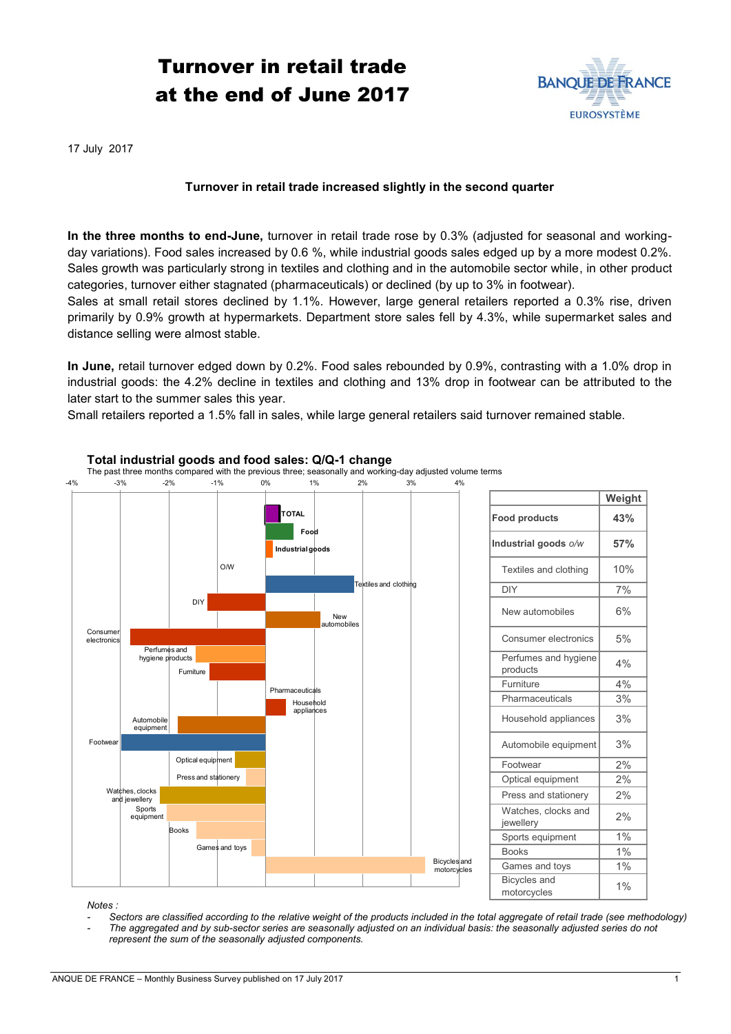## Turnover in retail trade at the end of June 2017



17 July 2017

## **Turnover in retail trade increased slightly in the second quarter**

**In the three months to end-June,** turnover in retail trade rose by 0.3% (adjusted for seasonal and workingday variations). Food sales increased by 0.6 %, while industrial goods sales edged up by a more modest 0.2%. Sales growth was particularly strong in textiles and clothing and in the automobile sector while, in other product categories, turnover either stagnated (pharmaceuticals) or declined (by up to 3% in footwear).

Sales at small retail stores declined by 1.1%. However, large general retailers reported a 0.3% rise, driven primarily by 0.9% growth at hypermarkets. Department store sales fell by 4.3%, while supermarket sales and distance selling were almost stable.

**In June,** retail turnover edged down by 0.2%. Food sales rebounded by 0.9%, contrasting with a 1.0% drop in industrial goods: the 4.2% decline in textiles and clothing and 13% drop in footwear can be attributed to the later start to the summer sales this year.

Small retailers reported a 1.5% fall in sales, while large general retailers said turnover remained stable.



*- The aggregated and by sub-sector series are seasonally adjusted on an individual basis: the seasonally adjusted series do not* 

ANQUE DE FRANCE – Monthly Business Survey published on 17 July 2017

*represent the sum of the seasonally adjusted components.*